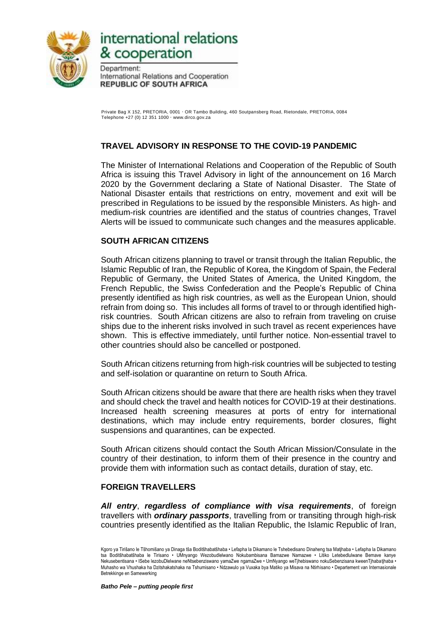

# international relations & cooperation

Department: International Relations and Cooperation **REPUBLIC OF SOUTH AFRICA** 

Private Bag X 152, PRETORIA, 0001 · OR Tambo Building, 460 Soutpansberg Road, Rietondale, PRETORIA, 0084 Telephone +27 (0) 12 351 1000  $\cdot$  www.dirco.gov.za

# **TRAVEL ADVISORY IN RESPONSE TO THE COVID-19 PANDEMIC**

The Minister of International Relations and Cooperation of the Republic of South Africa is issuing this Travel Advisory in light of the announcement on 16 March 2020 by the Government declaring a State of National Disaster. The State of National Disaster entails that restrictions on entry, movement and exit will be prescribed in Regulations to be issued by the responsible Ministers. As high- and medium-risk countries are identified and the status of countries changes, Travel Alerts will be issued to communicate such changes and the measures applicable.

## **SOUTH AFRICAN CITIZENS**

South African citizens planning to travel or transit through the Italian Republic, the Islamic Republic of Iran, the Republic of Korea, the Kingdom of Spain, the Federal Republic of Germany, the United States of America, the United Kingdom, the French Republic, the Swiss Confederation and the People's Republic of China presently identified as high risk countries, as well as the European Union, should refrain from doing so. This includes all forms of travel to or through identified highrisk countries. South African citizens are also to refrain from traveling on cruise ships due to the inherent risks involved in such travel as recent experiences have shown. This is effective immediately, until further notice. Non-essential travel to other countries should also be cancelled or postponed.

South African citizens returning from high-risk countries will be subjected to testing and self-isolation or quarantine on return to South Africa.

South African citizens should be aware that there are health risks when they travel and should check the travel and health notices for COVID-19 at their destinations. Increased health screening measures at ports of entry for international destinations, which may include entry requirements, border closures, flight suspensions and quarantines, can be expected.

South African citizens should contact the South African Mission/Consulate in the country of their destination, to inform them of their presence in the country and provide them with information such as contact details, duration of stay, etc.

#### **FOREIGN TRAVELLERS**

*All entry*, *regardless of compliance with visa requirements*, of foreign travellers with *ordinary passports*, travelling from or transiting through high-risk countries presently identified as the Italian Republic, the Islamic Republic of Iran,

Kgoro ya Tirišano le Tšhomišano ya Dinaga tša Boditšhabatšhaba • Lefapha la Dikamano le Tshebedisano Dinaheng tsa Matjhaba • Lefapha la Dikamano tsa Boditšhabatšhaba le Tirisano • UMnyango Wezobudlelwano Nokubambisana Bamazwe Namazwe • Litiko Letebedlulwane Bemave kanye Nekusebentisana • ISebe lezobuDlelwane neNtsebenziswano yamaZwe ngamaZwe • UmNyango weTjhebiswano nokuSebenzisana kweenTjhabatjhaba • Muhasho wa Vhushaka ha Dzitshakatshaka na Tshumisano • Ndzawulo ya Vuxaka bya Matiko ya Misava na Ntirhisano • Departement van Internasionale Betrekkinge en Samewerking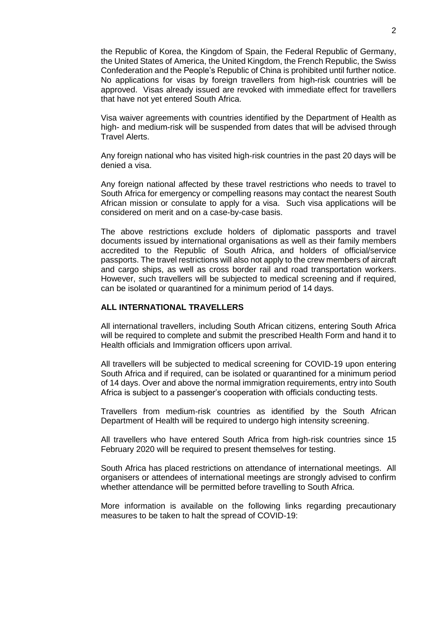the Republic of Korea, the Kingdom of Spain, the Federal Republic of Germany, the United States of America, the United Kingdom, the French Republic, the Swiss Confederation and the People's Republic of China is prohibited until further notice. No applications for visas by foreign travellers from high-risk countries will be approved. Visas already issued are revoked with immediate effect for travellers that have not yet entered South Africa.

Visa waiver agreements with countries identified by the Department of Health as high- and medium-risk will be suspended from dates that will be advised through Travel Alerts.

Any foreign national who has visited high-risk countries in the past 20 days will be denied a visa.

Any foreign national affected by these travel restrictions who needs to travel to South Africa for emergency or compelling reasons may contact the nearest South African mission or consulate to apply for a visa. Such visa applications will be considered on merit and on a case-by-case basis.

The above restrictions exclude holders of diplomatic passports and travel documents issued by international organisations as well as their family members accredited to the Republic of South Africa, and holders of official/service passports. The travel restrictions will also not apply to the crew members of aircraft and cargo ships, as well as cross border rail and road transportation workers. However, such travellers will be subjected to medical screening and if required, can be isolated or quarantined for a minimum period of 14 days.

#### **ALL INTERNATIONAL TRAVELLERS**

All international travellers, including South African citizens, entering South Africa will be required to complete and submit the prescribed Health Form and hand it to Health officials and Immigration officers upon arrival.

All travellers will be subjected to medical screening for COVID-19 upon entering South Africa and if required, can be isolated or quarantined for a minimum period of 14 days. Over and above the normal immigration requirements, entry into South Africa is subject to a passenger's cooperation with officials conducting tests.

Travellers from medium-risk countries as identified by the South African Department of Health will be required to undergo high intensity screening.

All travellers who have entered South Africa from high-risk countries since 15 February 2020 will be required to present themselves for testing.

South Africa has placed restrictions on attendance of international meetings. All organisers or attendees of international meetings are strongly advised to confirm whether attendance will be permitted before travelling to South Africa.

More information is available on the following links regarding precautionary measures to be taken to halt the spread of COVID-19: